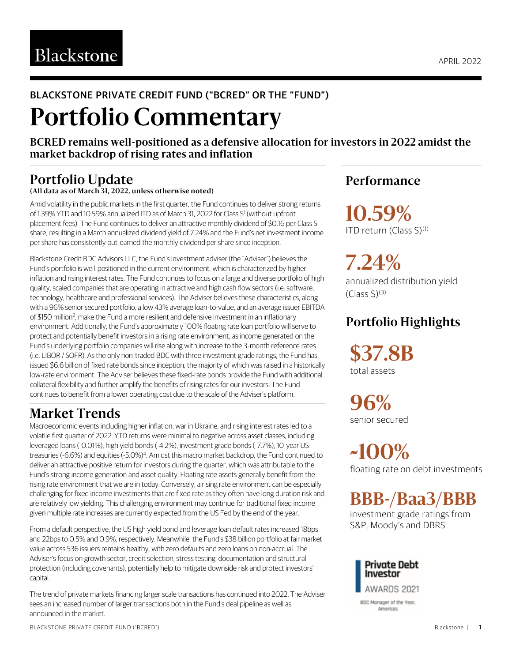### BLACKSTONE PRIVATE CREDIT FUND ("BCRED" OR THE "FUND")

# **Portfolio Commentary**

**BCRED remains well-positioned as a defensive allocation for investors in 2022 amidst the market backdrop of rising rates and inflation**

#### **Portfolio Update (All data as of March 31, 2022, unless otherwise noted)**

Amid volatility in the public markets in the first quarter, the Fund continues to deliver strong returns of 1.39% YTD and 10.59% annualized ITD as of March 31, 2022 for Class S<sup>1</sup> (without upfront placement fees). The Fund continues to deliver an attractive monthly dividend of \$0.16 per Class S share, resulting in a March annualized dividend yield of 7.24% and the Fund's net investment income per share has consistently out-earned the monthly dividend per share since inception.

Blackstone Credit BDC Advisors LLC, the Fund's investment adviser (the "Adviser") believes the Fund's portfolio is well-positioned in the current environment, which is characterized by higher inflation and rising interest rates. The Fund continues to focus on a large and diverse portfolio of high quality, scaled companies that are operating in attractive and high cash flow sectors (i.e. software, technology, healthcare and professional services). The Adviser believes these characteristics, along with a 96% senior secured portfolio, a low 43% average loan-to-value, and an average issuer EBITDA of \$150 million<sup>2</sup>, make the Fund a more resilient and defensive investment in an inflationary environment. Additionally, the Fund's approximately 100% floating rate loan portfolio will serve to protect and potentially benefit investors in a rising rate environment, as income generated on the Fund's underlying portfolio companies will rise along with increase to the 3-month reference rates (i.e. LIBOR / SOFR). As the only non-traded BDC with three investment grade ratings, the Fund has issued \$6.6 billion of fixed rate bonds since inception, the majority of which was raised in a historically low-rate environment. The Adviser believes these fixed-rate bonds provide the Fund with additional collateral flexibility and further amplify the benefits of rising rates for our investors. The Fund continues to benefit from a lower operating cost due to the scale of the Adviser's platform.

### **Market Trends**

Macroeconomic events including higher inflation, war in Ukraine, and rising interest rates led to a volatile first quarter of 2022. YTD returns were minimal to negative across asset classes, including leveraged loans (-0.01%), high yield bonds (-4.2%), investment grade bonds (-7.7%), 10-year US treasuries (-6.6%) and equities (-5.0%)<sup>4</sup>. Amidst this macro market backdrop, the Fund continued to deliver an attractive positive return for investors during the quarter, which was attributable to the Fund's strong income generation and asset quality. Floating rate assets generally benefit from the rising rate environment that we are in today. Conversely, a rising rate environment can be especially challenging for fixed income investments that are fixed rate as they often have long duration risk and are relatively low yielding. This challenging environment may continue for traditional fixed income given multiple rate increases are currently expected from the US Fed by the end of the year.

From a default perspective, the US high yield bond and leverage loan default rates increased 18bps and 22bps to 0.5% and 0.9%, respectively. Meanwhile, the Fund's \$38 billion portfolio at fair market value across 536 issuers remains healthy, with zero defaults and zero loans on non-accrual. The Adviser's focus on growth sector, credit selection, stress testing, documentation and structural protection (including covenants), potentially help to mitigate downside risk and protect investors' capital.

The trend of private markets financing larger scale transactions has continued into 2022. The Adviser sees an increased number of larger transactions both in the Fund's deal pipeline as well as announced in the market.

### **Performance**

**10.59%** ITD return (Class S)<sup>(1)</sup>

**7.24%** annualized distribution yield  $(Class S)<sup>(3)</sup>$ 

### **Portfolio Highlights**

**\$37.8B** total assets

**96%** senior secured

**~100%** floating rate on debt investments

## **BBB-/Baa3/BBB**

investment grade ratings from S&P, Moody's and DBRS



BLACKSTONE PRIVATE CREDIT FUND ("BCRED")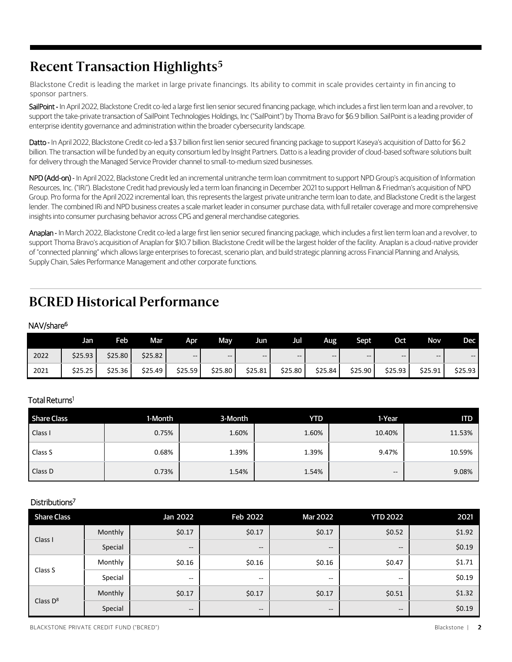### **Recent Transaction Highlights<sup>5</sup>**

Blackstone Credit is leading the market in large private financings. Its ability to commit in scale provides certainty in fin ancing to sponsor partners.

SailPoint - In April 2022, Blackstone Credit co-led a large first lien senior secured financing package, which includes a first lien term loan and a revolver, to support the take-private transaction of SailPoint Technologies Holdings, Inc ("SailPoint") by Thoma Bravo for \$6.9 billion. SailPoint is a leading provider of enterprise identity governance and administration within the broader cybersecurity landscape.

Datto - In April 2022, Blackstone Credit co-led a \$3.7 billion first lien senior secured financing package to support Kaseya's acquisition of Datto for \$6.2 billion. The transaction will be funded by an equity consortium led by Insight Partners. Datto is a leading provider of cloud-based software solutions built for delivery through the Managed Service Provider channel to small-to-medium sized businesses.

NPD (Add-on) - In April 2022, Blackstone Credit led an incremental unitranche term loan commitment to support NPD Group's acquisition of Information Resources, Inc. ("IRi"). Blackstone Credit had previously led a term loan financing in December 2021 to support Hellman & Friedman's acquisition of NPD Group. Pro forma for the April 2022 incremental loan, this represents the largest private unitranche term loan to date, and Blackstone Credit is the largest lender. The combined IRi and NPD business creates a scale market leader in consumer purchase data, with full retailer coverage and more comprehensive insights into consumer purchasing behavior across CPG and general merchandise categories.

Anaplan - In March 2022, Blackstone Credit co-led a large first lien senior secured financing package, which includes a first lien term loan and a revolver, to support Thoma Bravo's acquisition of Anaplan for \$10.7 billion. Blackstone Credit will be the largest holder of the facility. Anaplan is a cloud-native provider of "connected planning" which allows large enterprises to forecast, scenario plan, and build strategic planning across Financial Planning and Analysis, Supply Chain, Sales Performance Management and other corporate functions.

### **BCRED Historical Performance**

#### NAV/share<sup>6</sup>

|      | Jan     | Feb     | Mar     | Apr     | May     | Jun.    | Jul     | Aug     | Sept    | <b>Oct</b> | <b>Nov</b> | Dec                      |
|------|---------|---------|---------|---------|---------|---------|---------|---------|---------|------------|------------|--------------------------|
| 2022 | \$25.93 | \$25.80 | \$25.82 | $- -$   | $- -$   | $- -$   | --      | $- -$   | $- -$   | $- -$      | $- -$      | $\overline{\phantom{a}}$ |
| 2021 | \$25.25 | \$25.36 | \$25.49 | \$25.59 | \$25.80 | \$25.81 | \$25.80 | \$25.84 | \$25.90 | \$25.93    | \$25.91    | \$25.93                  |

#### Total Returns<sup>1</sup>

| <b>Share Class</b> | 1-Month | 3-Month | <b>YTD</b> | 1-Year | <b>ITD</b> |
|--------------------|---------|---------|------------|--------|------------|
| Class I            | 0.75%   | 1.60%   | 1.60%      | 10.40% | 11.53%     |
| Class S            | 0.68%   | 1.39%   | 1.39%      | 9.47%  | 10.59%     |
| Class D            | 0.73%   | 1.54%   | 1.54%      | $- -$  | 9.08%      |

#### Distributions<sup>7</sup>

| <b>Share Class</b> |         | Jan 2022                 | Feb 2022                                            | <b>Mar 2022</b>                                | <b>YTD 2022</b>                       | 2021   |
|--------------------|---------|--------------------------|-----------------------------------------------------|------------------------------------------------|---------------------------------------|--------|
| Class I            | Monthly | \$0.17                   | \$0.17                                              | \$0.17                                         | \$0.52                                | \$1.92 |
|                    | Special | $- -$                    | $\hspace{0.05cm} -\hspace{0.05cm} -\hspace{0.05cm}$ | $\hspace{0.1mm}-\hspace{0.1mm}-\hspace{0.1mm}$ | $\hspace{0.05cm}$ – $\hspace{0.05cm}$ | \$0.19 |
| Class S            | Monthly | \$0.16                   | \$0.16                                              | \$0.16                                         | \$0.47                                | \$1.71 |
|                    | Special | $\overline{\phantom{m}}$ | $- -$                                               | --                                             | --                                    | \$0.19 |
| Class $D^8$        | Monthly | \$0.17                   | \$0.17                                              | \$0.17                                         | \$0.51                                | \$1.32 |
|                    | Special | $- -$                    | $- -$                                               | $\hspace{0.1mm}-\hspace{0.1mm}-\hspace{0.1mm}$ | $- -$                                 | \$0.19 |